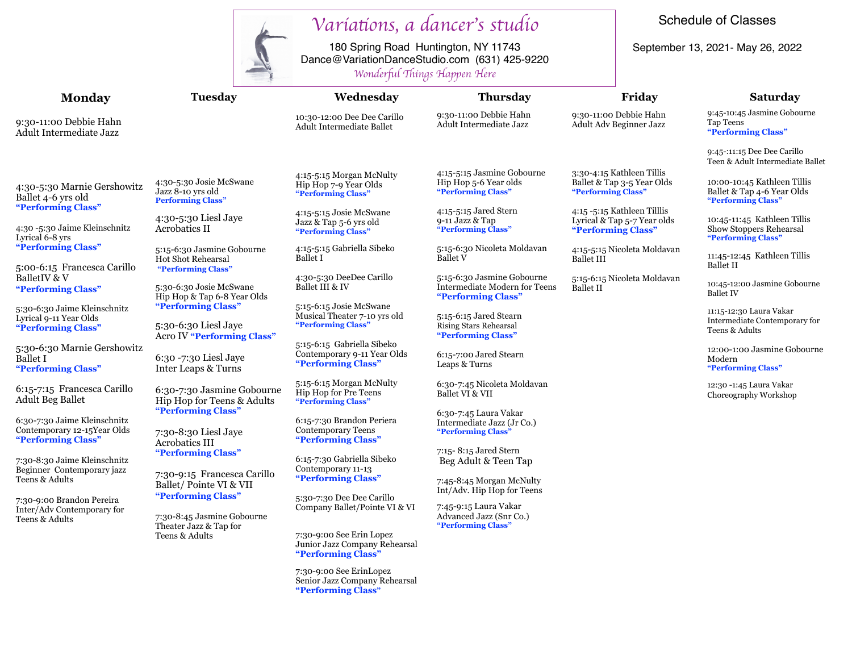

## *Varia*t*ons, a dancer*'*s studio*

Schedule of Classes

September 13, 2021- May 26, 2022

180 Spring Road Huntington, NY 11743 Dance@VariationDanceStudio.com (631) 425-9220 *Wonder*f*l* T*ings Happen Here*

|                                                                                    | rronnerjui znings zuippen ziere                                                 |                                                                                 |                                                                                          |                                                                                  |                                                                                 |
|------------------------------------------------------------------------------------|---------------------------------------------------------------------------------|---------------------------------------------------------------------------------|------------------------------------------------------------------------------------------|----------------------------------------------------------------------------------|---------------------------------------------------------------------------------|
| <b>Monday</b>                                                                      | Tuesday                                                                         | Wednesday                                                                       | <b>Thursday</b>                                                                          | Friday                                                                           | <b>Saturday</b>                                                                 |
| 9:30-11:00 Debbie Hahn<br>Adult Intermediate Jazz                                  |                                                                                 | 10:30-12:00 Dee Dee Carillo<br><b>Adult Intermediate Ballet</b>                 | 9:30-11:00 Debbie Hahn<br>Adult Intermediate Jazz                                        | 9:30-11:00 Debbie Hahn<br>Adult Adv Beginner Jazz                                | 9:45-10:45 Jasmine Gobourne<br>Tap Teens<br>"Performing Class"                  |
|                                                                                    |                                                                                 |                                                                                 |                                                                                          |                                                                                  | 9:45-:11:15 Dee Dee Carillo<br>Teen & Adult Intermediate Ballet                 |
| 4:30-5:30 Marnie Gershowitz<br>Ballet 4-6 yrs old                                  | 4:30-5:30 Josie McSwane<br>Jazz 8-10 yrs old<br><b>Performing Class"</b>        | 4:15-5:15 Morgan McNulty<br>Hip Hop 7-9 Year Olds<br>"Performing Class"         | 4:15-5:15 Jasmine Gobourne<br>Hip Hop 5-6 Year olds<br>"Performing Class"                | 3:30-4:15 Kathleen Tillis<br>Ballet & Tap 3-5 Year Olds<br>"Performing Class"    | 10:00-10:45 Kathleen Tillis<br>Ballet & Tap 4-6 Year Olds<br>"Performing Class" |
| "Performing Class"<br>4:30 -5:30 Jaime Kleinschnitz<br>Lyrical 6-8 yrs             | 4:30-5:30 Liesl Jaye<br><b>Acrobatics II</b>                                    | 4:15-5:15 Josie McSwane<br>Jazz & Tap 5-6 yrs old<br>"Performing Class"         | 4:15-5:15 Jared Stern<br>9-11 Jazz & Tap<br>"Performing Class"                           | 4:15 -5:15 Kathleen Tilllis<br>Lyrical & Tap 5-7 Year olds<br>"Performing Class" | 10:45-11:45 Kathleen Tillis<br>Show Stoppers Rehearsal<br>"Performing Class"    |
| "Performing Class"<br>5:00-6:15 Francesca Carillo                                  | 5:15-6:30 Jasmine Gobourne<br><b>Hot Shot Rehearsal</b><br>"Performing Class"   | 4:15-5:15 Gabriella Sibeko<br><b>Ballet I</b>                                   | 5:15-6:30 Nicoleta Moldavan<br><b>Ballet V</b>                                           | 4:15-5:15 Nicoleta Moldavan<br><b>Ballet III</b>                                 | 11:45-12:45 Kathleen Tillis<br><b>Ballet II</b>                                 |
| BalletIV & V<br>"Performing Class"                                                 | 5:30-6:30 Josie McSwane<br>Hip Hop & Tap 6-8 Year Olds                          | 4:30-5:30 DeeDee Carillo<br>Ballet III & IV                                     | 5:15-6:30 Jasmine Gobourne<br><b>Intermediate Modern for Teens</b><br>"Performing Class" | 5:15-6:15 Nicoleta Moldavan<br><b>Ballet II</b>                                  | 10:45-12:00 Jasmine Gobourne<br><b>Ballet IV</b>                                |
| 5:30-6:30 Jaime Kleinschnitz<br>Lyrical 9-11 Year Olds<br>"Performing Class"       | "Performing Class"<br>5:30-6:30 Liesl Jaye<br><b>Acro IV "Performing Class"</b> | 5:15-6:15 Josie McSwane<br>Musical Theater 7-10 yrs old<br>"Performing Class"   | 5:15-6:15 Jared Stearn<br><b>Rising Stars Rehearsal</b><br>"Performing Class"            |                                                                                  | 11:15-12:30 Laura Vakar<br>Intermediate Contemporary for<br>Teens & Adults      |
| 5:30-6:30 Marnie Gershowitz<br><b>Ballet I</b><br>"Performing Class"               | 6:30 -7:30 Liesl Jaye<br><b>Inter Leaps &amp; Turns</b>                         | 5:15-6:15 Gabriella Sibeko<br>Contemporary 9-11 Year Olds<br>"Performing Class" | 6:15-7:00 Jared Stearn<br>Leaps & Turns                                                  |                                                                                  | 12:00-1:00 Jasmine Gobourne<br>Modern<br>"Performing Class"                     |
| 6:15-7:15 Francesca Carillo<br><b>Adult Beg Ballet</b>                             | 6:30-7:30 Jasmine Gobourne<br>Hip Hop for Teens & Adults<br>"Performing Class"  | 5:15-6:15 Morgan McNulty<br>Hip Hop for Pre Teens<br>"Performing Class"         | 6:30-7:45 Nicoleta Moldavan<br>Ballet VI & VII                                           |                                                                                  | 12:30 -1:45 Laura Vakar<br>Choreography Workshop                                |
| 6:30-7:30 Jaime Kleinschnitz<br>Contemporary 12-15 Year Olds<br>"Performing Class" | 7:30-8:30 Liesl Jaye<br><b>Acrobatics III</b>                                   | 6:15-7:30 Brandon Periera<br><b>Contemporary Teens</b><br>"Performing Class"    | 6:30-7:45 Laura Vakar<br>Intermediate Jazz (Jr Co.)<br>"Performing Class"                |                                                                                  |                                                                                 |
| 7:30-8:30 Jaime Kleinschnitz<br>Beginner Contemporary jazz                         | "Performing Class"<br>7:30-9:15 Francesca Carillo                               | 6:15-7:30 Gabriella Sibeko<br>Contemporary 11-13                                | 7:15-8:15 Jared Stern<br>Beg Adult & Teen Tap                                            |                                                                                  |                                                                                 |
| Teens & Adults<br>7:30-9:00 Brandon Pereira                                        | Ballet/Pointe VI & VII<br>"Performing Class"                                    | "Performing Class"<br>5:30-7:30 Dee Dee Carillo                                 | 7:45-8:45 Morgan McNulty<br>Int/Adv. Hip Hop for Teens                                   |                                                                                  |                                                                                 |
| Inter/Adv Contemporary for<br>Teens & Adults                                       | 7:30-8:45 Jasmine Gobourne<br>Theater Jazz & Tap for                            | Company Ballet/Pointe VI & VI                                                   | 7:45-9:15 Laura Vakar<br>Advanced Jazz (Snr Co.)<br>"Performing Class"                   |                                                                                  |                                                                                 |
|                                                                                    | Teens & Adults                                                                  | 7:30-9:00 See Erin Lopez<br>Junior Jazz Company Rehearsal<br>"Performing Class" |                                                                                          |                                                                                  |                                                                                 |

7:30-9:00 See ErinLopez Senior Jazz Company Rehearsal **"Performing Class"**